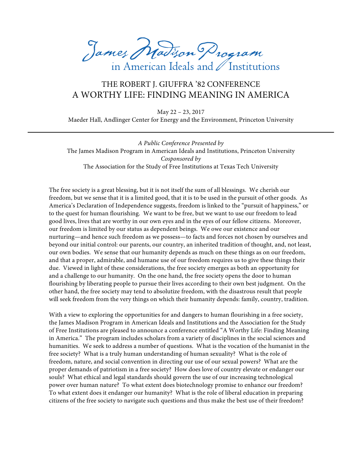James Madison Program in American Ideals and / Institutions

## THE ROBERT J. GIUFFRA '82 CONFERENCE A WORTHY LIFE: FINDING MEANING IN AMERICA

May 22 – 23, 2017 Maeder Hall, Andlinger Center for Energy and the Environment, Princeton University

*A Public Conference Presented by*  The James Madison Program in American Ideals and Institutions, Princeton University *Cosponsored by*  The Association for the Study of Free Institutions at Texas Tech University

The free society is a great blessing, but it is not itself the sum of all blessings. We cherish our freedom, but we sense that it is a limited good, that it is to be used in the pursuit of other goods. As America's Declaration of Independence suggests, freedom is linked to the "pursuit of happiness," or to the quest for human flourishing. We want to be free, but we want to use our freedom to lead good lives, lives that are worthy in our own eyes and in the eyes of our fellow citizens. Moreover, our freedom is limited by our status as dependent beings. We owe our existence and our nurturing—and hence such freedom as we possess—to facts and forces not chosen by ourselves and beyond our initial control: our parents, our country, an inherited tradition of thought, and, not least, our own bodies. We sense that our humanity depends as much on these things as on our freedom, and that a proper, admirable, and humane use of our freedom requires us to give these things their due. Viewed in light of these considerations, the free society emerges as both an opportunity for and a challenge to our humanity. On the one hand, the free society opens the door to human flourishing by liberating people to pursue their lives according to their own best judgment. On the other hand, the free society may tend to absolutize freedom, with the disastrous result that people will seek freedom from the very things on which their humanity depends: family, country, tradition.

With a view to exploring the opportunities for and dangers to human flourishing in a free society, the James Madison Program in American Ideals and Institutions and the Association for the Study of Free Institutions are pleased to announce a conference entitled "A Worthy Life: Finding Meaning in America." The program includes scholars from a variety of disciplines in the social sciences and humanities. We seek to address a number of questions. What is the vocation of the humanist in the free society? What is a truly human understanding of human sexuality? What is the role of freedom, nature, and social convention in directing our use of our sexual powers? What are the proper demands of patriotism in a free society? How does love of country elevate or endanger our souls? What ethical and legal standards should govern the use of our increasing technological power over human nature? To what extent does biotechnology promise to enhance our freedom? To what extent does it endanger our humanity? What is the role of liberal education in preparing citizens of the free society to navigate such questions and thus make the best use of their freedom?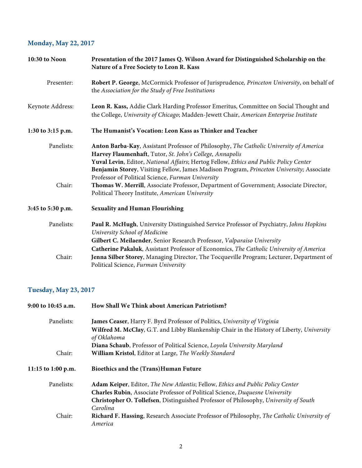## **Monday, May 22, 2017**

| 10:30 to Noon     | Presentation of the 2017 James Q. Wilson Award for Distinguished Scholarship on the<br>Nature of a Free Society to Leon R. Kass                                                                                                                                                                                                                                                              |
|-------------------|----------------------------------------------------------------------------------------------------------------------------------------------------------------------------------------------------------------------------------------------------------------------------------------------------------------------------------------------------------------------------------------------|
| Presenter:        | Robert P. George, McCormick Professor of Jurisprudence, Princeton University, on behalf of<br>the Association for the Study of Free Institutions                                                                                                                                                                                                                                             |
| Keynote Address:  | Leon R. Kass, Addie Clark Harding Professor Emeritus, Committee on Social Thought and<br>the College, University of Chicago; Madden-Jewett Chair, American Enterprise Institute                                                                                                                                                                                                              |
| 1:30 to 3:15 p.m. | The Humanist's Vocation: Leon Kass as Thinker and Teacher                                                                                                                                                                                                                                                                                                                                    |
| Panelists:        | Anton Barba-Kay, Assistant Professor of Philosophy, The Catholic University of America<br>Harvey Flaumenhaft, Tutor, St. John's College, Annapolis<br>Yuval Levin, Editor, National Affairs; Hertog Fellow, Ethics and Public Policy Center<br>Benjamin Storey, Visiting Fellow, James Madison Program, Princeton University; Associate<br>Professor of Political Science, Furman University |
| Chair:            | Thomas W. Merrill, Associate Professor, Department of Government; Associate Director,<br>Political Theory Institute, American University                                                                                                                                                                                                                                                     |
| 3:45 to 5:30 p.m. | <b>Sexuality and Human Flourishing</b>                                                                                                                                                                                                                                                                                                                                                       |
| Panelists:        | Paul R. McHugh, University Distinguished Service Professor of Psychiatry, Johns Hopkins<br>University School of Medicine<br>Gilbert C. Meilaender, Senior Research Professor, Valparaiso University<br>Catherine Pakaluk, Assistant Professor of Economics, The Catholic University of America                                                                                               |
| Chair:            | Jenna Silber Storey, Managing Director, The Tocqueville Program; Lecturer, Department of<br>Political Science, Furman University                                                                                                                                                                                                                                                             |

## **Tuesday, May 23, 2017**

| How Shall We Think about American Patriotism?                                                            |
|----------------------------------------------------------------------------------------------------------|
| James Ceaser, Harry F. Byrd Professor of Politics, University of Virginia                                |
| Wilfred M. McClay, G.T. and Libby Blankenship Chair in the History of Liberty, University<br>of Oklahoma |
| Diana Schaub, Professor of Political Science, Loyola University Maryland                                 |
| William Kristol, Editor at Large, The Weekly Standard                                                    |
| Bioethics and the (Trans) Human Future                                                                   |
| <b>Adam Keiper, Editor, The New Atlantis; Fellow, Ethics and Public Policy Center</b>                    |
| Charles Rubin, Associate Professor of Political Science, Duquesne University                             |
| Christopher O. Tollefsen, Distinguished Professor of Philosophy, University of South                     |
| Carolina                                                                                                 |
| Richard F. Hassing, Research Associate Professor of Philosophy, The Catholic University of<br>America    |
|                                                                                                          |